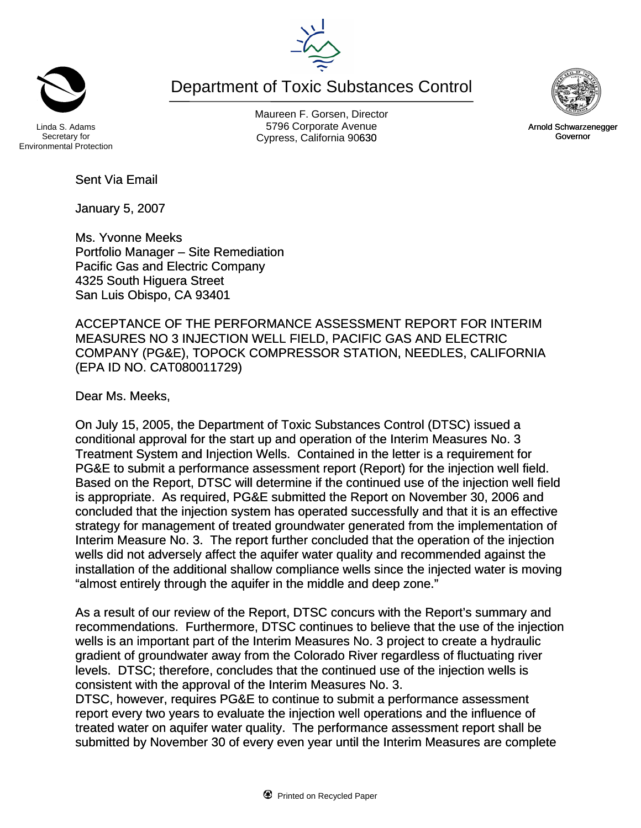Maureen F. Gorsen, Director Linda S. Adams **Example 20 Constructs** S796 Corporate Avenu Cypress, California 90630 **Canadian Cypress**, California 90630

Department of Toxic Substances Control

Secretary for Environmental Protection

Sent Via Email

January 5, 2007

Ms. Yvonne Meeks Portfolio Manager – Site Remediation Pacific Gas and Electric Company 4325 South Higuera Street San Luis Obispo, CA 93401

ACCEPTANCE OF THE PERFORMANCE ASSESSMENT REPORT FOR INTERIM MEASURES NO 3 INJECTION WELL FIELD, PACIFIC GAS AND ELECTRIC COMPANY (PG&E), TOPOCK COMPRESSOR STATION, NEEDLES, CALIFORNIA (EPA ID NO. CAT080011729)

Dear Ms. Meeks,

On July 15, 2005, the Department of Toxic Substances Control (DTSC) issued a conditional approval for the start up and operation of the Interim Measures No. 3 Treatment System and Injection Wells. Contained in the letter is a requirement for PG&E to submit a performance assessment report (Report) for the injection well field. Based on the Report, DTSC will determine if the continued use of the injection well field is appropriate. As required, PG&E submitted the Report on November 30, 2006 and concluded that the injection system has operated successfully and that it is an effective strategy for management of treated groundwater generated from the implementation of Interim Measure No. 3. The report further concluded that the operation of the injection wells did not adversely affect the aquifer water quality and recommended against the installation of the additional shallow compliance wells since the injected water is moving "almost entirely through the aquifer in the middle and deep zone."

As a result of our review of the Report, DTSC concurs with the Report's summary and recommendations. Furthermore, DTSC continues to believe that the use of the injection wells is an important part of the Interim Measures No. 3 project to create a hydraulic gradient of groundwater away from the Colorado River regardless of fluctuating river levels. DTSC; therefore, concludes that the continued use of the injection wells is consistent with the approval of the Interim Measures No. 3.

DTSC, however, requires PG&E to continue to submit a performance assessment report every two years to evaluate the injection well operations and the influence of treated water on aquifer water quality. The performance assessment report shall be submitted by November 30 of every even year until the Interim Measures are complete



Arnold Schwarzenegger Governor